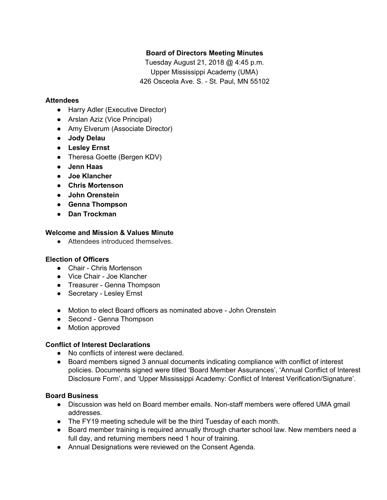# **Board of Directors Meeting Minutes**

Tuesday August 21, 2018 @ 4:45 p.m. Upper Mississippi Academy (UMA) 426 Osceola Ave. S. - St. Paul, MN 55102

### **Attendees**

- Harry Adler (Executive Director)
- Arslan Aziz (Vice Principal)
- Amy Elverum (Associate Director)
- **● Jody Delau**
- **● Lesley Ernst**
- Theresa Goette (Bergen KDV)
- **● Jenn Haas**
- **● Joe Klancher**
- **● Chris Mortenson**
- **● John Orenstein**
- **● Genna Thompson**
- **● Dan Trockman**

## **Welcome and Mission & Values Minute**

● Attendees introduced themselves.

### **Election of Officers**

- Chair Chris Mortenson
- Vice Chair Joe Klancher
- Treasurer Genna Thompson
- Secretary Lesley Ernst
- Motion to elect Board officers as nominated above John Orenstein
- Second Genna Thompson
- Motion approved

### **Conflict of Interest Declarations**

- No conflicts of interest were declared.
- Board members signed 3 annual documents indicating compliance with conflict of interest policies. Documents signed were titled 'Board Member Assurances', 'Annual Conflict of Interest Disclosure Form', and 'Upper Mississippi Academy: Conflict of Interest Verification/Signature'.

### **Board Business**

- Discussion was held on Board member emails. Non-staff members were offered UMA gmail addresses.
- The FY19 meeting schedule will be the third Tuesday of each month.
- Board member training is required annually through charter school law. New members need a full day, and returning members need 1 hour of training.
- Annual Designations were reviewed on the Consent Agenda.